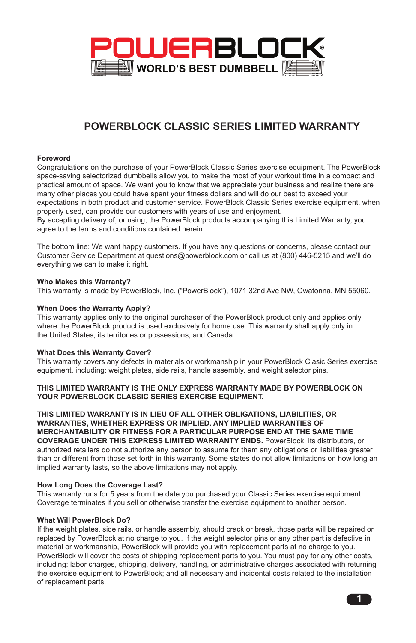

# **POWERBLOCK CLASSIC SERIES LIMITED WARRANTY**

#### **Foreword**

Congratulations on the purchase of your PowerBlock Classic Series exercise equipment. The PowerBlock space-saving selectorized dumbbells allow you to make the most of your workout time in a compact and practical amount of space. We want you to know that we appreciate your business and realize there are many other places you could have spent your fitness dollars and will do our best to exceed your expectations in both product and customer service. PowerBlock Classic Series exercise equipment, when properly used, can provide our customers with years of use and enjoyment.

By accepting delivery of, or using, the PowerBlock products accompanying this Limited Warranty, you agree to the terms and conditions contained herein.

The bottom line: We want happy customers. If you have any questions or concerns, please contact our Customer Service Department at questions@powerblock.com or call us at (800) 446-5215 and we'll do everything we can to make it right.

## **Who Makes this Warranty?**

This warranty is made by PowerBlock, Inc. ("PowerBlock"), 1071 32nd Ave NW, Owatonna, MN 55060.

#### **When Does the Warranty Apply?**

This warranty applies only to the original purchaser of the PowerBlock product only and applies only where the PowerBlock product is used exclusively for home use. This warranty shall apply only in the United States, its territories or possessions, and Canada.

#### **What Does this Warranty Cover?**

This warranty covers any defects in materials or workmanship in your PowerBlock Clasic Series exercise equipment, including: weight plates, side rails, handle assembly, and weight selector pins.

#### **THIS LIMITED WARRANTY IS THE ONLY EXPRESS WARRANTY MADE BY POWERBLOCK ON YOUR POWERBLOCK CLASSIC SERIES EXERCISE EQUIPMENT.**

**THIS LIMITED WARRANTY IS IN LIEU OF ALL OTHER OBLIGATIONS, LIABILITIES, OR WARRANTIES, WHETHER EXPRESS OR IMPLIED. ANY IMPLIED WARRANTIES OF MERCHANTABILITY OR FITNESS FOR A PARTICULAR PURPOSE END AT THE SAME TIME COVERAGE UNDER THIS EXPRESS LIMITED WARRANTY ENDS.** PowerBlock, its distributors, or authorized retailers do not authorize any person to assume for them any obligations or liabilities greater than or different from those set forth in this warranty. Some states do not allow limitations on how long an implied warranty lasts, so the above limitations may not apply.

#### **How Long Does the Coverage Last?**

This warranty runs for 5 years from the date you purchased your Classic Series exercise equipment. Coverage terminates if you sell or otherwise transfer the exercise equipment to another person.

#### **What Will PowerBlock Do?**

If the weight plates, side rails, or handle assembly, should crack or break, those parts will be repaired or replaced by PowerBlock at no charge to you. If the weight selector pins or any other part is defective in material or workmanship, PowerBlock will provide you with replacement parts at no charge to you. PowerBlock will cover the costs of shipping replacement parts to you. You must pay for any other costs, including: labor charges, shipping, delivery, handling, or administrative charges associated with returning the exercise equipment to PowerBlock; and all necessary and incidental costs related to the installation of replacement parts.